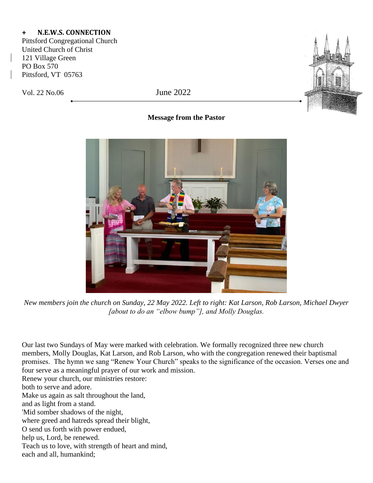## **+ N.E.W.S. CONNECTION**

Pittsford Congregational Church United Church of Christ 121 Village Green PO Box 570 Pittsford, VT 05763

Vol. 22 No.06 June 2022



## **Message from the Pastor**



*New members join the church on Sunday, 22 May 2022. Left to right: Kat Larson, Rob Larson, Michael Dwyer [about to do an "elbow bump"], and Molly Douglas.*

Our last two Sundays of May were marked with celebration. We formally recognized three new church members, Molly Douglas, Kat Larson, and Rob Larson, who with the congregation renewed their baptismal promises. The hymn we sang "Renew Your Church" speaks to the significance of the occasion. Verses one and four serve as a meaningful prayer of our work and mission. Renew your church, our ministries restore:

both to serve and adore.

Make us again as salt throughout the land,

and as light from a stand.

'Mid somber shadows of the night,

where greed and hatreds spread their blight,

O send us forth with power endued,

help us, Lord, be renewed.

Teach us to love, with strength of heart and mind,

each and all, humankind;